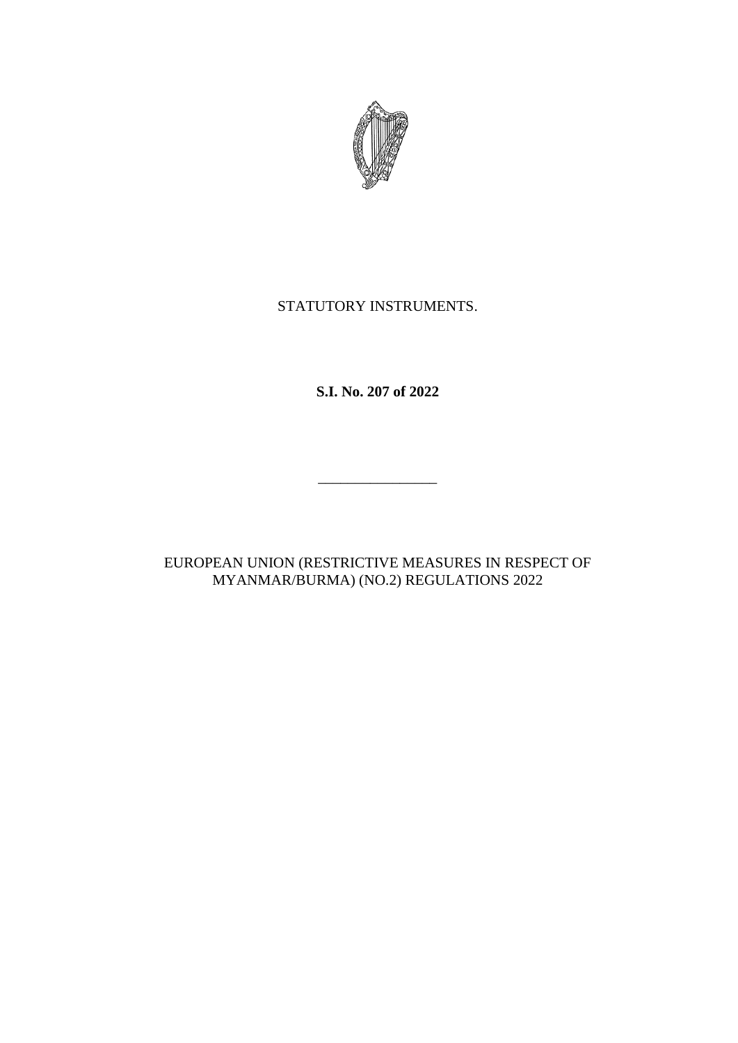

## STATUTORY INSTRUMENTS.

**S.I. No. 207 of 2022**

EUROPEAN UNION (RESTRICTIVE MEASURES IN RESPECT OF MYANMAR/BURMA) (NO.2) REGULATIONS 2022

\_\_\_\_\_\_\_\_\_\_\_\_\_\_\_\_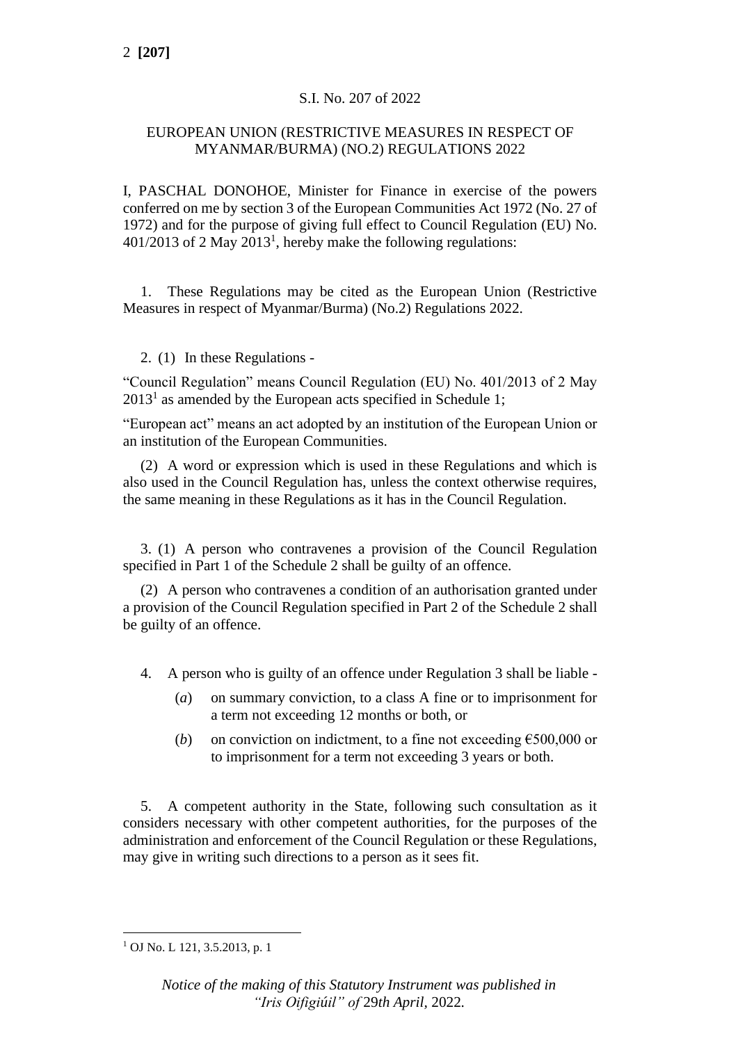## S.I. No. 207 of 2022

#### EUROPEAN UNION (RESTRICTIVE MEASURES IN RESPECT OF MYANMAR/BURMA) (NO.2) REGULATIONS 2022

I, PASCHAL DONOHOE, Minister for Finance in exercise of the powers conferred on me by section 3 of the European Communities Act 1972 (No. 27 of 1972) and for the purpose of giving full effect to Council Regulation (EU) No.  $401/2013$  of 2 May  $2013<sup>1</sup>$ , hereby make the following regulations:

1. These Regulations may be cited as the European Union (Restrictive Measures in respect of Myanmar/Burma) (No.2) Regulations 2022.

## 2. (1) In these Regulations -

"Council Regulation" means Council Regulation (EU) No. 401/2013 of 2 May  $2013<sup>1</sup>$  as amended by the European acts specified in Schedule 1;

"European act" means an act adopted by an institution of the European Union or an institution of the European Communities.

(2) A word or expression which is used in these Regulations and which is also used in the Council Regulation has, unless the context otherwise requires, the same meaning in these Regulations as it has in the Council Regulation.

3. (1) A person who contravenes a provision of the Council Regulation specified in Part 1 of the Schedule 2 shall be guilty of an offence.

(2) A person who contravenes a condition of an authorisation granted under a provision of the Council Regulation specified in Part 2 of the Schedule 2 shall be guilty of an offence.

- 4. A person who is guilty of an offence under Regulation 3 shall be liable
	- (*a*) on summary conviction, to a class A fine or to imprisonment for a term not exceeding 12 months or both, or
	- (*b*) on conviction on indictment, to a fine not exceeding  $\epsilon$ 500,000 or to imprisonment for a term not exceeding 3 years or both.

5. A competent authority in the State, following such consultation as it considers necessary with other competent authorities, for the purposes of the administration and enforcement of the Council Regulation or these Regulations, may give in writing such directions to a person as it sees fit.

<sup>1</sup> OJ No. L 121, 3.5.2013, p. 1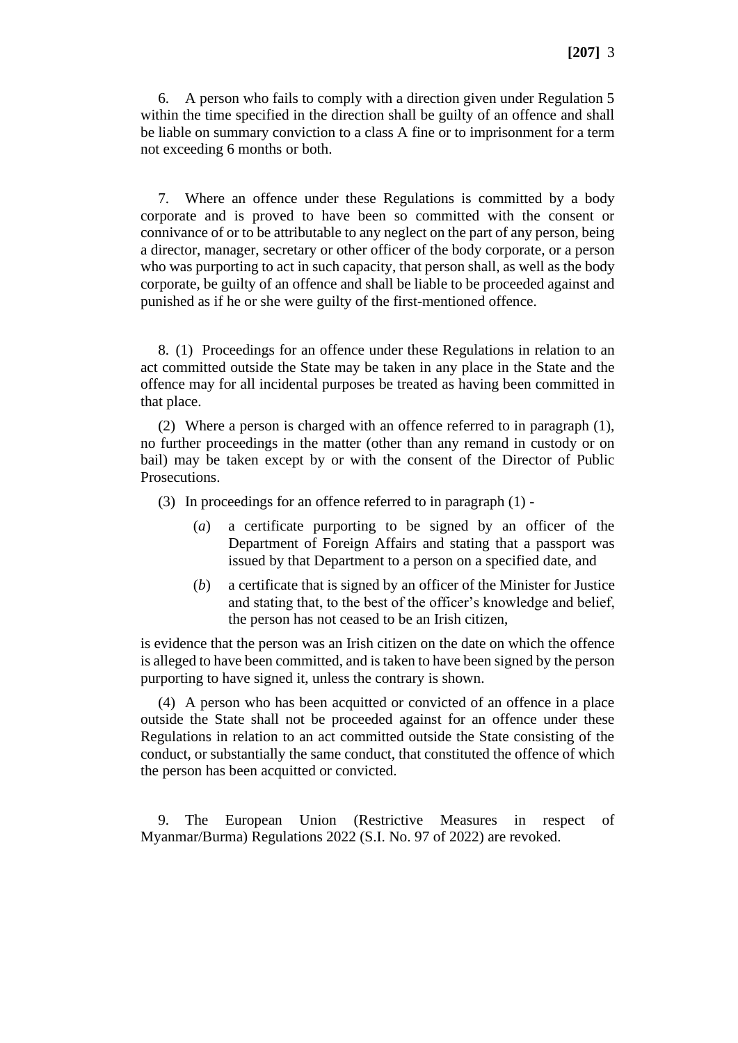6. A person who fails to comply with a direction given under Regulation 5 within the time specified in the direction shall be guilty of an offence and shall be liable on summary conviction to a class A fine or to imprisonment for a term not exceeding 6 months or both.

7. Where an offence under these Regulations is committed by a body corporate and is proved to have been so committed with the consent or connivance of or to be attributable to any neglect on the part of any person, being a director, manager, secretary or other officer of the body corporate, or a person who was purporting to act in such capacity, that person shall, as well as the body corporate, be guilty of an offence and shall be liable to be proceeded against and punished as if he or she were guilty of the first-mentioned offence.

8. (1) Proceedings for an offence under these Regulations in relation to an act committed outside the State may be taken in any place in the State and the offence may for all incidental purposes be treated as having been committed in that place.

(2) Where a person is charged with an offence referred to in paragraph (1), no further proceedings in the matter (other than any remand in custody or on bail) may be taken except by or with the consent of the Director of Public Prosecutions.

- (3) In proceedings for an offence referred to in paragraph (1)
	- (*a*) a certificate purporting to be signed by an officer of the Department of Foreign Affairs and stating that a passport was issued by that Department to a person on a specified date, and
	- (*b*) a certificate that is signed by an officer of the Minister for Justice and stating that, to the best of the officer's knowledge and belief, the person has not ceased to be an Irish citizen,

is evidence that the person was an Irish citizen on the date on which the offence is alleged to have been committed, and is taken to have been signed by the person purporting to have signed it, unless the contrary is shown.

(4) A person who has been acquitted or convicted of an offence in a place outside the State shall not be proceeded against for an offence under these Regulations in relation to an act committed outside the State consisting of the conduct, or substantially the same conduct, that constituted the offence of which the person has been acquitted or convicted.

9. The European Union (Restrictive Measures in respect of Myanmar/Burma) Regulations 2022 (S.I. No. 97 of 2022) are revoked.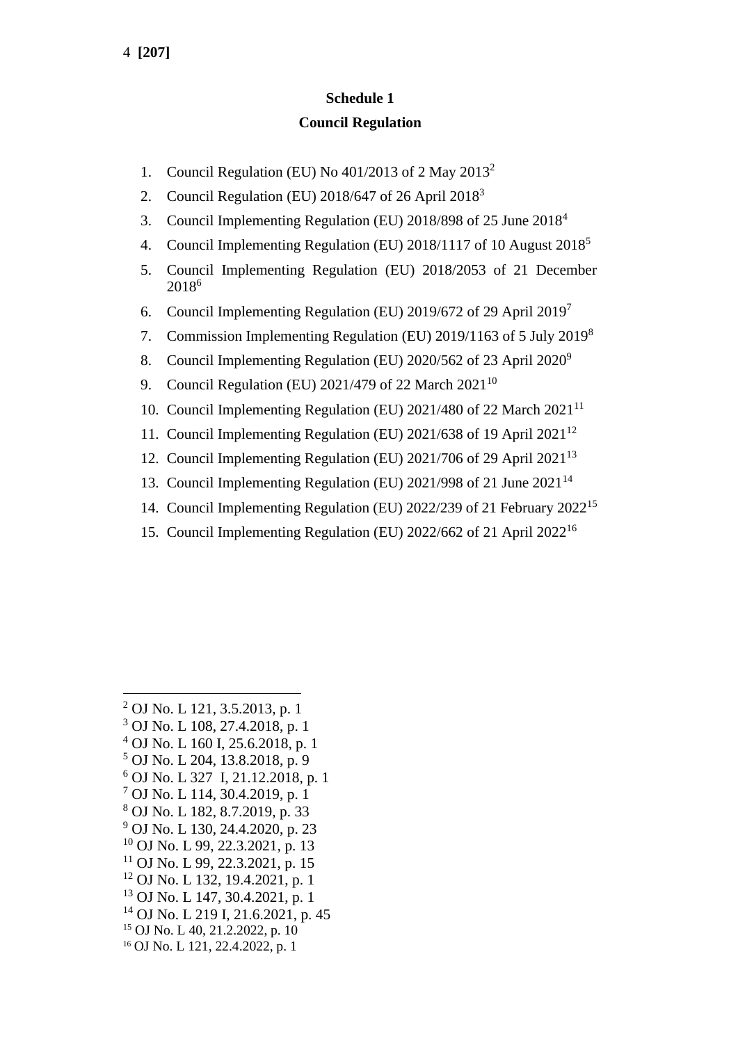# **Schedule 1**

## **Council Regulation**

- 1. Council Regulation (EU) No  $401/2013$  of 2 May  $2013<sup>2</sup>$
- 2. Council Regulation (EU)  $2018/647$  of 26 April  $2018<sup>3</sup>$
- 3. Council Implementing Regulation (EU) 2018/898 of 25 June 2018<sup>4</sup>
- 4. Council Implementing Regulation (EU) 2018/1117 of 10 August 2018<sup>5</sup>
- 5. Council Implementing Regulation (EU) 2018/2053 of 21 December 2018<sup>6</sup>
- 6. Council Implementing Regulation (EU) 2019/672 of 29 April 2019<sup>7</sup>
- 7. Commission Implementing Regulation (EU) 2019/1163 of 5 July 2019<sup>8</sup>
- 8. Council Implementing Regulation (EU) 2020/562 of 23 April 2020<sup>9</sup>
- 9. Council Regulation (EU) 2021/479 of 22 March 2021<sup>10</sup>
- 10. Council Implementing Regulation (EU) 2021/480 of 22 March 2021<sup>11</sup>
- 11. Council Implementing Regulation (EU) 2021/638 of 19 April 2021<sup>12</sup>
- 12. Council Implementing Regulation (EU) 2021/706 of 29 April 2021<sup>13</sup>
- 13. Council Implementing Regulation (EU) 2021/998 of 21 June 2021<sup>14</sup>
- 14. Council Implementing Regulation (EU) 2022/239 of 21 February 2022<sup>15</sup>
- 15. Council Implementing Regulation (EU) 2022/662 of 21 April 2022<sup>16</sup>

- $3$  OJ No. L 108, 27.4.2018, p. 1
- $^{4}$  OJ No. L 160 I, 25.6.2018, p. 1
- <sup>5</sup> OJ No. L 204, 13.8.2018, p. 9
- <sup>6</sup> OJ No. L 327 I, 21.12.2018, p. 1
- $7$  OJ No. L 114, 30.4.2019, p. 1
- <sup>8</sup> OJ No. L 182, 8.7.2019, p. 33
- <sup>9</sup> OJ No. L 130, 24.4.2020, p. 23
- $10$  OJ No. L 99, 22.3.2021, p. 13  $11$  OJ No. L 99, 22.3.2021, p. 15
- <sup>12</sup> OJ No. L 132, 19.4.2021, p. 1
- <sup>13</sup> OJ No. L 147, 30.4.2021, p. 1
- $14$  OJ No. L 219 I, 21.6.2021, p. 45
- <sup>15</sup> OJ No. L 40, 21.2.2022, p. 10
- <sup>16</sup> OJ No. L 121, 22.4.2022, p. 1

 $^{2}$  OJ No. L 121, 3.5.2013, p. 1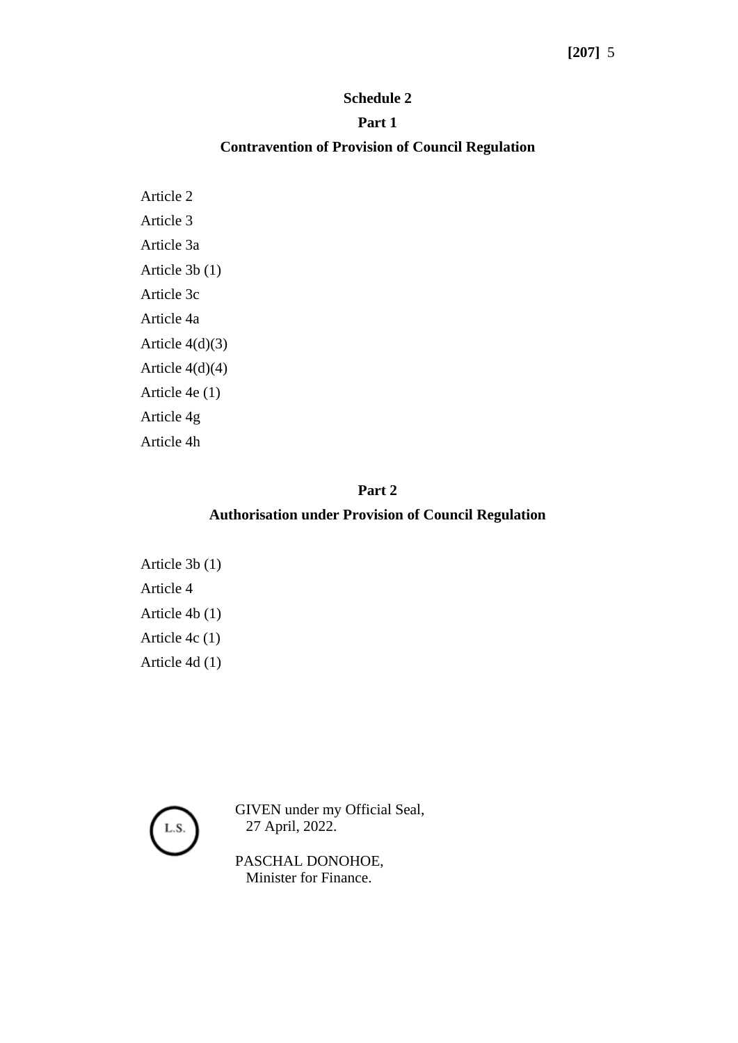# **Schedule 2**

#### **Part 1**

## **Contravention of Provision of Council Regulation**

Article 2 Article 3 Article 3a Article 3b (1) Article 3c Article 4a Article 4(d)(3) Article 4(d)(4) Article 4e (1) Article 4g Article 4h

#### **Part 2**

## **Authorisation under Provision of Council Regulation**

Article 3b (1) Article 4 Article 4b (1) Article 4c (1) Article 4d (1)



GIVEN under my Official Seal, 27 April, 2022.

PASCHAL DONOHOE, Minister for Finance.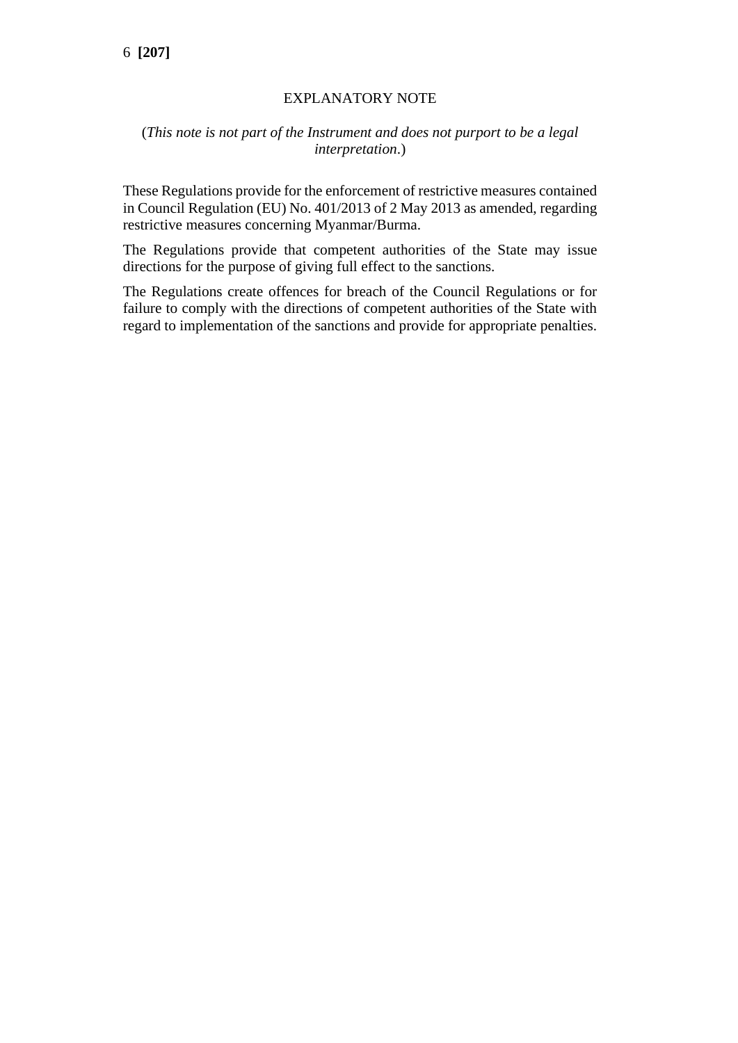## EXPLANATORY NOTE

#### (*This note is not part of the Instrument and does not purport to be a legal interpretation*.)

These Regulations provide for the enforcement of restrictive measures contained in Council Regulation (EU) No. 401/2013 of 2 May 2013 as amended, regarding restrictive measures concerning Myanmar/Burma.

The Regulations provide that competent authorities of the State may issue directions for the purpose of giving full effect to the sanctions.

The Regulations create offences for breach of the Council Regulations or for failure to comply with the directions of competent authorities of the State with regard to implementation of the sanctions and provide for appropriate penalties.